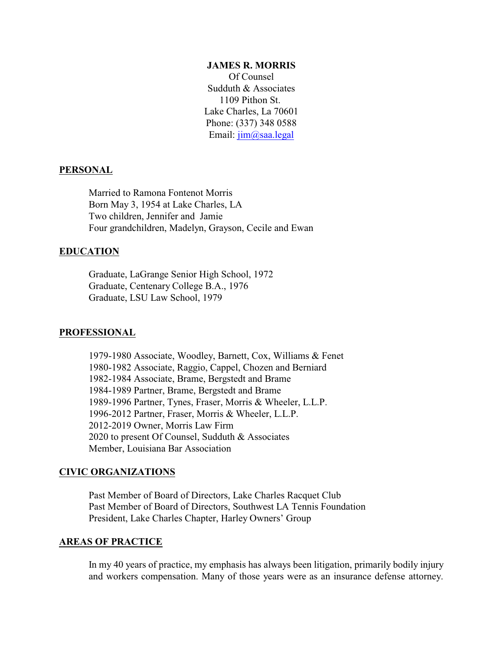#### **JAMES R. MORRIS**

Of Counsel Sudduth & Associates 1109 Pithon St. Lake Charles, La 70601 Phone: (337) 348 0588 Email: [jim@saa.legal](mailto:jmorris@jrmorrislaw.com)

### **PERSONAL**

Married to Ramona Fontenot Morris Born May 3, 1954 at Lake Charles, LA Two children, Jennifer and Jamie Four grandchildren, Madelyn, Grayson, Cecile and Ewan

# **EDUCATION**

Graduate, LaGrange Senior High School, 1972 Graduate, Centenary College B.A., 1976 Graduate, LSU Law School, 1979

### **PROFESSIONAL**

1979-1980 Associate, Woodley, Barnett, Cox, Williams & Fenet 1980-1982 Associate, Raggio, Cappel, Chozen and Berniard 1982-1984 Associate, Brame, Bergstedt and Brame 1984-1989 Partner, Brame, Bergstedt and Brame 1989-1996 Partner, Tynes, Fraser, Morris & Wheeler, L.L.P. 1996-2012 Partner, Fraser, Morris & Wheeler, L.L.P. 2012-2019 Owner, Morris Law Firm 2020 to present Of Counsel, Sudduth & Associates Member, Louisiana Bar Association

### **CIVIC ORGANIZATIONS**

Past Member of Board of Directors, Lake Charles Racquet Club Past Member of Board of Directors, Southwest LA Tennis Foundation President, Lake Charles Chapter, Harley Owners' Group

# **AREAS OF PRACTICE**

In my 40 years of practice, my emphasis has always been litigation, primarily bodily injury and workers compensation. Many of those years were as an insurance defense attorney.